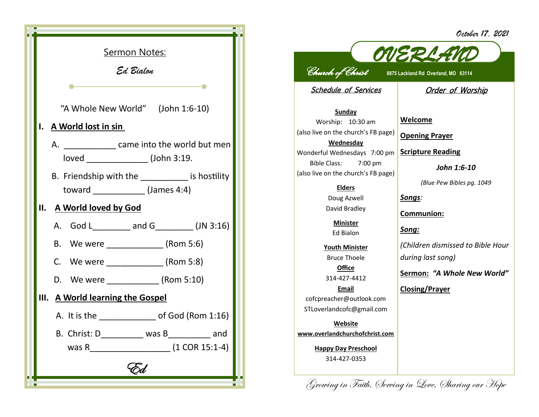*October 17, 2021*



## *OVERLAND Church of Christ* **8875 Lackland Rd Overland, MO 63114**

Schedule of Services

**Order of Worship** 

**Sunday** Worship: 10:30 am (also live on the church's FB page) **Wednesday** Wonderful Wednesdays 7:00 pm Bible Class: 7:00 pm (also live on the church's FB page)

> **Elders** Doug Azwell David Bradley

**Minister** Ed Bialon

**Youth Minister** Bruce Thoele **Office**

314-427-4412

**Email** cofcpreacher@outlook.com STLoverlandcofc@gmail.com

**Website www.overlandchurchofchrist.com**

> **Happy Day Preschool** 314-427-0353

**Welcome**

**Opening Prayer**

**Scripture Reading**

*John 1:6-10*

*(Blue Pew Bibles pg. 1049*

*Songs:* 

**Communion:**

*Song:*

*(Children dismissed to Bible Hour during last song)*

**Sermon:** *"A Whole New World"*

**Closing/Prayer**

Growing in Faith, Serving in Love, Sharing our Hope